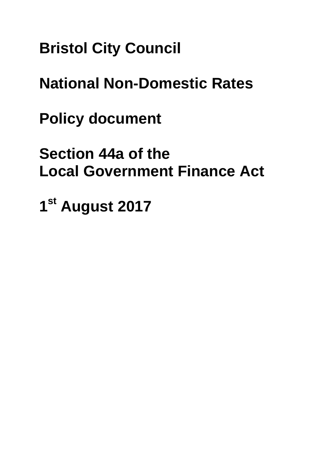**Bristol City Council**

**National Non-Domestic Rates**

**Policy document**

**Section 44a of the Local Government Finance Act**

**1st August 2017**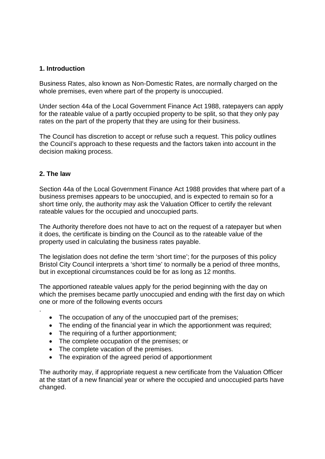# **1. Introduction**

Business Rates, also known as Non-Domestic Rates, are normally charged on the whole premises, even where part of the property is unoccupied.

Under section 44a of the Local Government Finance Act 1988, ratepayers can apply for the rateable value of a partly occupied property to be split, so that they only pay rates on the part of the property that they are using for their business.

The Council has discretion to accept or refuse such a request. This policy outlines the Council's approach to these requests and the factors taken into account in the decision making process.

# **2. The law**

.

Section 44a of the Local Government Finance Act 1988 provides that where part of a business premises appears to be unoccupied, and is expected to remain so for a short time only, the authority may ask the Valuation Officer to certify the relevant rateable values for the occupied and unoccupied parts.

The Authority therefore does not have to act on the request of a ratepayer but when it does, the certificate is binding on the Council as to the rateable value of the property used in calculating the business rates payable.

The legislation does not define the term 'short time'; for the purposes of this policy Bristol City Council interprets a 'short time' to normally be a period of three months, but in exceptional circumstances could be for as long as 12 months.

The apportioned rateable values apply for the period beginning with the day on which the premises became partly unoccupied and ending with the first day on which one or more of the following events occurs

- The occupation of any of the unoccupied part of the premises;
- The ending of the financial year in which the apportionment was required:
- The requiring of a further apportionment;
- The complete occupation of the premises; or
- The complete vacation of the premises.
- The expiration of the agreed period of apportionment

The authority may, if appropriate request a new certificate from the Valuation Officer at the start of a new financial year or where the occupied and unoccupied parts have changed.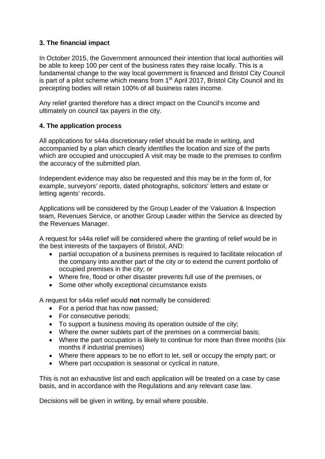# **3. The financial impact**

In October 2015, the Government announced their intention that local authorities will be able to keep 100 per cent of the business rates they raise locally. This is a fundamental change to the way local government is financed and Bristol City Council is part of a pilot scheme which means from 1<sup>st</sup> April 2017, Bristol City Council and its precepting bodies will retain 100% of all business rates income.

Any relief granted therefore has a direct impact on the Council's income and ultimately on council tax payers in the city.

# **4. The application process**

All applications for s44a discretionary relief should be made in writing, and accompanied by a plan which clearly identifies the location and size of the parts which are occupied and unoccupied A visit may be made to the premises to confirm the accuracy of the submitted plan.

Independent evidence may also be requested and this may be in the form of, for example, surveyors' reports, dated photographs, solicitors' letters and estate or letting agents' records.

Applications will be considered by the Group Leader of the Valuation & Inspection team, Revenues Service, or another Group Leader within the Service as directed by the Revenues Manager.

A request for s44a relief will be considered where the granting of relief would be in the best interests of the taxpayers of Bristol, AND:

- partial occupation of a business premises is required to facilitate relocation of the company into another part of the city or to extend the current portfolio of occupied premises in the city; or
- Where fire, flood or other disaster prevents full use of the premises, or
- Some other wholly exceptional circumstance exists

A request for s44a relief would **not** normally be considered:

- For a period that has now passed:
- For consecutive periods;
- To support a business moving its operation outside of the city;
- Where the owner sublets part of the premises on a commercial basis;
- Where the part occupation is likely to continue for more than three months (six months if industrial premises)
- Where there appears to be no effort to let, sell or occupy the empty part; or
- Where part occupation is seasonal or cyclical in nature.

This is not an exhaustive list and each application will be treated on a case by case basis, and in accordance with the Regulations and any relevant case law.

Decisions will be given in writing, by email where possible.